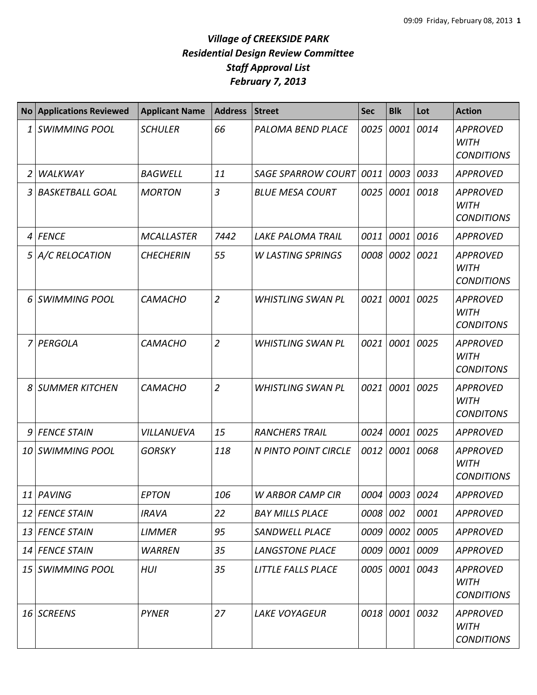| <b>No</b> | <b>Applications Reviewed</b> | <b>Applicant Name</b> | <b>Address</b> | <b>Street</b>             | <b>Sec</b> | <b>Blk</b>     | Lot       | <b>Action</b>                                       |
|-----------|------------------------------|-----------------------|----------------|---------------------------|------------|----------------|-----------|-----------------------------------------------------|
| 1         | <b>SWIMMING POOL</b>         | <b>SCHULER</b>        | 66             | PALOMA BEND PLACE         | 0025       | 0001           | 0014      | <b>APPROVED</b><br><b>WITH</b><br><b>CONDITIONS</b> |
| 2         | <b>WALKWAY</b>               | <b>BAGWELL</b>        | 11             | <b>SAGE SPARROW COURT</b> | 0011       | 0003 0033      |           | <b>APPROVED</b>                                     |
| 3         | <b>BASKETBALL GOAL</b>       | <b>MORTON</b>         | $\overline{3}$ | <b>BLUE MESA COURT</b>    | 0025       | 0001 0018      |           | <b>APPROVED</b><br><b>WITH</b><br><b>CONDITIONS</b> |
| 4         | <b>FENCE</b>                 | <b>MCALLASTER</b>     | 7442           | LAKE PALOMA TRAIL         | 0011       | 0001           | 0016      | <b>APPROVED</b>                                     |
| 5         | A/C RELOCATION               | <b>CHECHERIN</b>      | 55             | <b>W LASTING SPRINGS</b>  | 0008       | 0002 0021      |           | <b>APPROVED</b><br><b>WITH</b><br><b>CONDITIONS</b> |
| 6         | <b>SWIMMING POOL</b>         | <b>CAMACHO</b>        | $\overline{2}$ | <b>WHISTLING SWAN PL</b>  | 0021       |                | 0001 0025 | <b>APPROVED</b><br><b>WITH</b><br><b>CONDITONS</b>  |
| 7         | PERGOLA                      | <b>CAMACHO</b>        | $\overline{2}$ | <b>WHISTLING SWAN PL</b>  | 0021       | 0001           | 0025      | <b>APPROVED</b><br><b>WITH</b><br><b>CONDITONS</b>  |
| 8         | <b>SUMMER KITCHEN</b>        | <b>CAMACHO</b>        | $\overline{2}$ | <b>WHISTLING SWAN PL</b>  | 0021       | 0001           | 0025      | <b>APPROVED</b><br><b>WITH</b><br><b>CONDITONS</b>  |
| 9         | <b>FENCE STAIN</b>           | VILLANUEVA            | 15             | <b>RANCHERS TRAIL</b>     | 0024       | 0001           | 0025      | <b>APPROVED</b>                                     |
| 10        | <b>SWIMMING POOL</b>         | <b>GORSKY</b>         | 118            | N PINTO POINT CIRCLE      | 0012       | 0001           | 0068      | <b>APPROVED</b><br><b>WITH</b><br><b>CONDITIONS</b> |
|           | 11 PAVING                    | <b>EPTON</b>          | 106            | W ARBOR CAMP CIR          |            | 0004 0003 0024 |           | <b>APPROVED</b>                                     |
|           | 12 FENCE STAIN               | <b>IRAVA</b>          | 22             | <b>BAY MILLS PLACE</b>    | 0008 002   |                | 0001      | <b>APPROVED</b>                                     |
| 13        | <b>FENCE STAIN</b>           | <b>LIMMER</b>         | 95             | <b>SANDWELL PLACE</b>     |            | 0009 0002 0005 |           | <b>APPROVED</b>                                     |
|           | 14 FENCE STAIN               | <b>WARREN</b>         | 35             | <b>LANGSTONE PLACE</b>    |            | 0009 0001 0009 |           | <b>APPROVED</b>                                     |
|           | 15 SWIMMING POOL             | HUI                   | 35             | LITTLE FALLS PLACE        | 0005       | 0001 0043      |           | <b>APPROVED</b><br><b>WITH</b><br><b>CONDITIONS</b> |
| 16        | SCREENS                      | <b>PYNER</b>          | 27             | <b>LAKE VOYAGEUR</b>      |            | 0018 0001 0032 |           | APPROVED<br><b>WITH</b><br><b>CONDITIONS</b>        |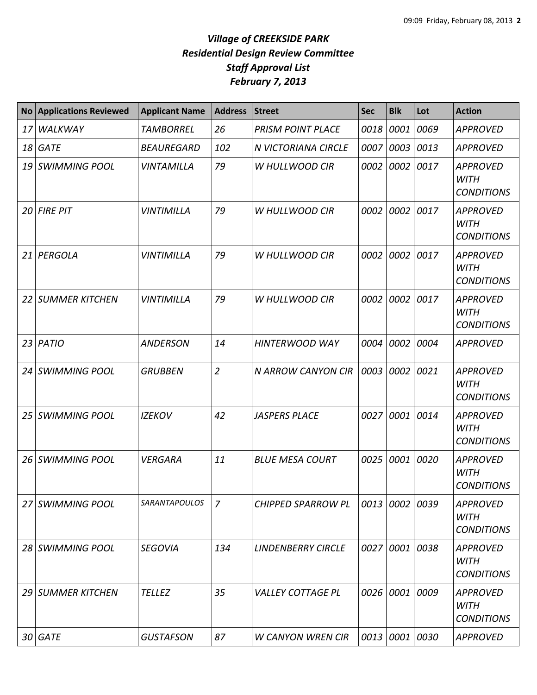| <b>No</b>       | <b>Applications Reviewed</b> | <b>Applicant Name</b> | <b>Address</b> | <b>Street</b>             | <b>Sec</b> | <b>Blk</b>     | Lot  | <b>Action</b>                                       |
|-----------------|------------------------------|-----------------------|----------------|---------------------------|------------|----------------|------|-----------------------------------------------------|
| 17              | WALKWAY                      | <b>TAMBORREL</b>      | 26             | <b>PRISM POINT PLACE</b>  | 0018       | 0001           | 0069 | <b>APPROVED</b>                                     |
| 18              | <b>GATE</b>                  | <b>BEAUREGARD</b>     | 102            | N VICTORIANA CIRCLE       | 0007       | 0003           | 0013 | <b>APPROVED</b>                                     |
| 19              | <b>SWIMMING POOL</b>         | <b>VINTAMILLA</b>     | 79             | W HULLWOOD CIR            | 0002       | 0002           | 0017 | <b>APPROVED</b><br><b>WITH</b><br><b>CONDITIONS</b> |
| 20              | <b>FIRE PIT</b>              | <b>VINTIMILLA</b>     | 79             | <b>W HULLWOOD CIR</b>     | 0002       | 0002           | 0017 | <b>APPROVED</b><br><b>WITH</b><br><b>CONDITIONS</b> |
| 21              | PERGOLA                      | <b>VINTIMILLA</b>     | 79             | W HULLWOOD CIR            | 0002       | 0002           | 0017 | <b>APPROVED</b><br><b>WITH</b><br><b>CONDITIONS</b> |
| 22 <sub>1</sub> | <b>SUMMER KITCHEN</b>        | <b>VINTIMILLA</b>     | 79             | W HULLWOOD CIR            | 0002       | 0002           | 0017 | <b>APPROVED</b><br><b>WITH</b><br><b>CONDITIONS</b> |
| 23              | PATIO                        | <b>ANDERSON</b>       | 14             | <b>HINTERWOOD WAY</b>     | 0004       | 0002           | 0004 | <b>APPROVED</b>                                     |
| 24              | <b>SWIMMING POOL</b>         | <b>GRUBBEN</b>        | $\overline{2}$ | N ARROW CANYON CIR        | 0003       | 0002           | 0021 | <b>APPROVED</b><br><b>WITH</b><br><b>CONDITIONS</b> |
| 25              | <b>SWIMMING POOL</b>         | <b>IZEKOV</b>         | 42             | <b>JASPERS PLACE</b>      | 0027       | 0001           | 0014 | <b>APPROVED</b><br><b>WITH</b><br><b>CONDITIONS</b> |
| 26              | <b>SWIMMING POOL</b>         | <b>VERGARA</b>        | 11             | <b>BLUE MESA COURT</b>    | 0025       | 0001           | 0020 | <b>APPROVED</b><br><b>WITH</b><br><b>CONDITIONS</b> |
|                 | 27 SWIMMING POOL             | <b>SARANTAPOULOS</b>  | 7              | <b>CHIPPED SPARROW PL</b> |            | 0013 0002 0039 |      | <b>APPROVED</b><br>WITH<br><b>CONDITIONS</b>        |
|                 | 28 SWIMMING POOL             | <b>SEGOVIA</b>        | 134            | <b>LINDENBERRY CIRCLE</b> |            | 0027 0001 0038 |      | <b>APPROVED</b><br><b>WITH</b><br><b>CONDITIONS</b> |
| 29              | <b>SUMMER KITCHEN</b>        | <b>TELLEZ</b>         | 35             | <b>VALLEY COTTAGE PL</b>  |            | 0026 0001      | 0009 | APPROVED<br><b>WITH</b><br><b>CONDITIONS</b>        |
| 30              | <b>GATE</b>                  | <b>GUSTAFSON</b>      | 87             | <b>W CANYON WREN CIR</b>  | 0013       | 0001 0030      |      | <b>APPROVED</b>                                     |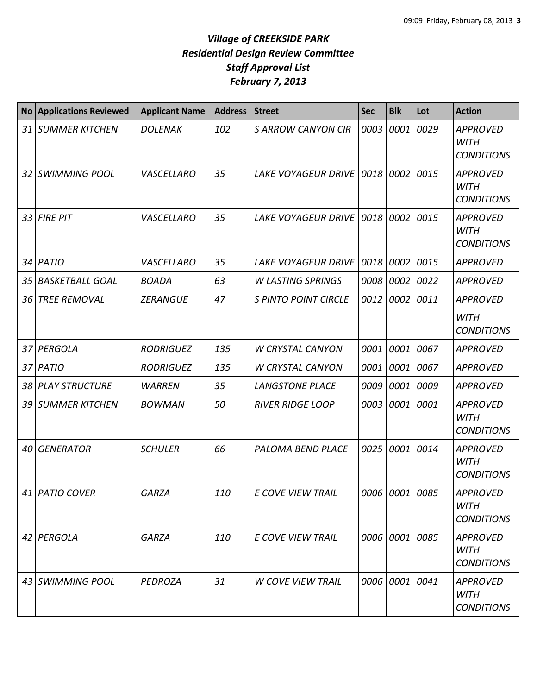| <b>No</b> | <b>Applications Reviewed</b> | <b>Applicant Name</b> | <b>Address</b> | <b>Street</b>               | <b>Sec</b> | <b>Blk</b>     | Lot  | <b>Action</b>                                       |
|-----------|------------------------------|-----------------------|----------------|-----------------------------|------------|----------------|------|-----------------------------------------------------|
|           | 31 SUMMER KITCHEN            | <b>DOLENAK</b>        | 102            | <b>S ARROW CANYON CIR</b>   | 0003       | 0001           | 0029 | <b>APPROVED</b><br><b>WITH</b><br><b>CONDITIONS</b> |
|           | 32 SWIMMING POOL             | VASCELLARO            | 35             | <b>LAKE VOYAGEUR DRIVE</b>  | 0018       | 0002           | 0015 | <b>APPROVED</b><br><b>WITH</b><br><b>CONDITIONS</b> |
|           | 33 FIRE PIT                  | VASCELLARO            | 35             | <b>LAKE VOYAGEUR DRIVE</b>  | 0018       | 0002           | 0015 | <b>APPROVED</b><br><b>WITH</b><br><b>CONDITIONS</b> |
|           | 34 PATIO                     | VASCELLARO            | 35             | <b>LAKE VOYAGEUR DRIVE</b>  | 0018       | 0002           | 0015 | <b>APPROVED</b>                                     |
| 35        | <b>BASKETBALL GOAL</b>       | <b>BOADA</b>          | 63             | <b>W LASTING SPRINGS</b>    | 0008       | 0002           | 0022 | <b>APPROVED</b>                                     |
| 36        | <b>TREE REMOVAL</b>          | <b>ZERANGUE</b>       | 47             | <b>S PINTO POINT CIRCLE</b> | 0012       | 0002           | 0011 | <b>APPROVED</b>                                     |
|           |                              |                       |                |                             |            |                |      | <b>WITH</b><br><b>CONDITIONS</b>                    |
|           | 37 PERGOLA                   | <b>RODRIGUEZ</b>      | 135            | <b>W CRYSTAL CANYON</b>     | 0001       | 0001           | 0067 | <b>APPROVED</b>                                     |
|           | 37 PATIO                     | <b>RODRIGUEZ</b>      | 135            | <b>W CRYSTAL CANYON</b>     | 0001       | 0001           | 0067 | <b>APPROVED</b>                                     |
|           | 38 PLAY STRUCTURE            | <b>WARREN</b>         | 35             | <b>LANGSTONE PLACE</b>      | 0009       | 0001 0009      |      | <b>APPROVED</b>                                     |
| 39 I      | <b>SUMMER KITCHEN</b>        | <b>BOWMAN</b>         | 50             | <b>RIVER RIDGE LOOP</b>     | 0003       | 0001           | 0001 | <b>APPROVED</b><br><b>WITH</b><br><b>CONDITIONS</b> |
| 40        | <b>GENERATOR</b>             | <b>SCHULER</b>        | 66             | PALOMA BEND PLACE           | 0025       | 0001           | 0014 | <b>APPROVED</b><br><b>WITH</b><br><b>CONDITIONS</b> |
|           | 41 PATIO COVER               | <b>GARZA</b>          | 110            | <b>F COVE VIEW TRAIL</b>    |            | 0006 0001 0085 |      | APPROVED<br><b>WITH</b><br><b>CONDITIONS</b>        |
|           | 42 PERGOLA                   | <b>GARZA</b>          | 110            | E COVE VIEW TRAIL           |            | 0006 0001 0085 |      | <b>APPROVED</b><br><b>WITH</b><br><b>CONDITIONS</b> |
|           | 43 SWIMMING POOL             | PEDROZA               | 31             | <b>W COVE VIEW TRAIL</b>    |            | 0006 0001 0041 |      | <b>APPROVED</b><br><b>WITH</b><br><b>CONDITIONS</b> |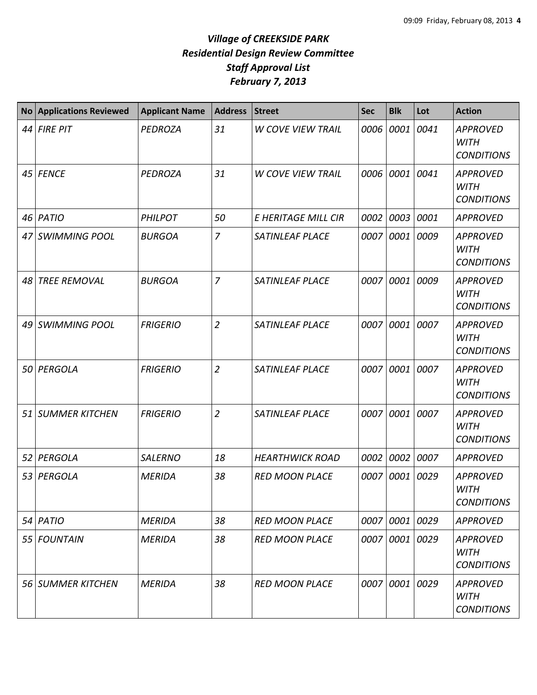| <b>No</b> | <b>Applications Reviewed</b> | <b>Applicant Name</b> | <b>Address</b> | <b>Street</b>            | <b>Sec</b> | <b>Blk</b>     | Lot  | <b>Action</b>                                       |
|-----------|------------------------------|-----------------------|----------------|--------------------------|------------|----------------|------|-----------------------------------------------------|
| 44        | <b>FIRE PIT</b>              | PEDROZA               | 31             | <b>W COVE VIEW TRAIL</b> |            | 0006 0001      | 0041 | <b>APPROVED</b><br><b>WITH</b><br><b>CONDITIONS</b> |
|           | 45 FENCE                     | PEDROZA               | 31             | <b>W COVE VIEW TRAIL</b> |            | 0006 0001      | 0041 | <b>APPROVED</b><br><b>WITH</b><br><b>CONDITIONS</b> |
| 46        | PATIO                        | <b>PHILPOT</b>        | 50             | E HERITAGE MILL CIR      | 0002       | 0003           | 0001 | <b>APPROVED</b>                                     |
| 47        | <b>SWIMMING POOL</b>         | <b>BURGOA</b>         | $\overline{7}$ | <b>SATINLEAF PLACE</b>   | 0007       | 0001           | 0009 | <b>APPROVED</b><br><b>WITH</b><br><b>CONDITIONS</b> |
| 48        | <b>TREE REMOVAL</b>          | <b>BURGOA</b>         | $\overline{7}$ | <b>SATINLEAF PLACE</b>   |            | 0007 0001      | 0009 | <b>APPROVED</b><br><b>WITH</b><br><b>CONDITIONS</b> |
| 49        | <b>SWIMMING POOL</b>         | <b>FRIGERIO</b>       | $\overline{2}$ | <b>SATINLEAF PLACE</b>   | 0007       | 0001           | 0007 | <b>APPROVED</b><br><b>WITH</b><br><b>CONDITIONS</b> |
| 50        | PERGOLA                      | <b>FRIGERIO</b>       | $\overline{2}$ | <b>SATINLEAF PLACE</b>   | 0007       | 0001           | 0007 | <b>APPROVED</b><br><b>WITH</b><br><b>CONDITIONS</b> |
| 51        | <b>SUMMER KITCHEN</b>        | <b>FRIGERIO</b>       | $\overline{2}$ | <b>SATINLEAF PLACE</b>   | 0007       | 0001           | 0007 | <b>APPROVED</b><br><b>WITH</b><br><b>CONDITIONS</b> |
| 52        | PERGOLA                      | <b>SALERNO</b>        | 18             | <b>HEARTHWICK ROAD</b>   | 0002       | 0002           | 0007 | <b>APPROVED</b>                                     |
| 53        | PERGOLA                      | <b>MERIDA</b>         | 38             | <b>RED MOON PLACE</b>    | 0007       | 0001           | 0029 | <b>APPROVED</b><br><b>WITH</b><br><b>CONDITIONS</b> |
|           | 54 PATIO                     | <b>MERIDA</b>         | 38             | <b>RED MOON PLACE</b>    |            | 0007 0001 0029 |      | <b>APPROVED</b>                                     |
|           | 55   FOUNTAIN                | <b>MERIDA</b>         | 38             | <b>RED MOON PLACE</b>    |            | 0007 0001      | 0029 | <b>APPROVED</b><br>WITH<br><b>CONDITIONS</b>        |
|           | 56 SUMMER KITCHEN            | <b>MERIDA</b>         | 38             | <b>RED MOON PLACE</b>    |            | 0007 0001      | 0029 | <b>APPROVED</b><br><b>WITH</b><br><b>CONDITIONS</b> |